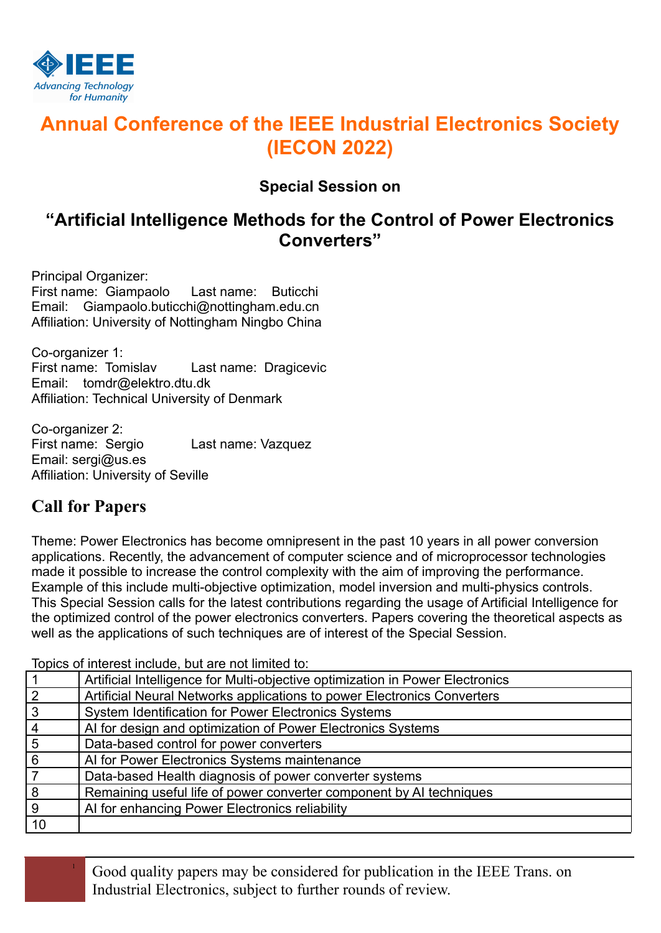

# **Annual Conference of the IEEE Industrial Electronics Society (IECON 2022)**

### **Special Session on**

## **"Artificial Intelligence Methods for the Control of Power Electronics Converters"**

Principal Organizer: First name: Giampaolo Last name: Buticchi Email: Giampaolo.buticchi@nottingham.edu.cn Affiliation: University of Nottingham Ningbo China

Co-organizer 1: First name: Tomislav Last name: Dragicevic Email: tomdr@elektro.dtu.dk Affiliation: Technical University of Denmark

Co-organizer 2:<br>First name: Sergio Last name: Vazquez Email: sergi@us.es Affiliation: University of Seville

### **Call for Papers**

Theme: Power Electronics has become omnipresent in the past 10 years in all power conversion applications. Recently, the advancement of computer science and of microprocessor technologies made it possible to increase the control complexity with the aim of improving the performance. Example of this include multi-objective optimization, model inversion and multi-physics controls. This Special Session calls for the latest contributions regarding the usage of Artificial Intelligence for the optimized control of the power electronics converters. Papers covering the theoretical aspects as well as the applications of such techniques are of interest of the Special Session.

Topics of interest include, but are not limited to:

|                | Artificial Intelligence for Multi-objective optimization in Power Electronics |
|----------------|-------------------------------------------------------------------------------|
| $\overline{2}$ | Artificial Neural Networks applications to power Electronics Converters       |
| $\overline{3}$ | System Identification for Power Electronics Systems                           |
| $\overline{4}$ | Al for design and optimization of Power Electronics Systems                   |
| $\overline{5}$ | Data-based control for power converters                                       |
| 6              | Al for Power Electronics Systems maintenance                                  |
|                | Data-based Health diagnosis of power converter systems                        |
| 8              | Remaining useful life of power converter component by AI techniques           |
| 9              | Al for enhancing Power Electronics reliability                                |
| 10             |                                                                               |

<sup>1</sup> Good quality papers may be considered for publication in the IEEE Trans. on Industrial Electronics, subject to further rounds of review.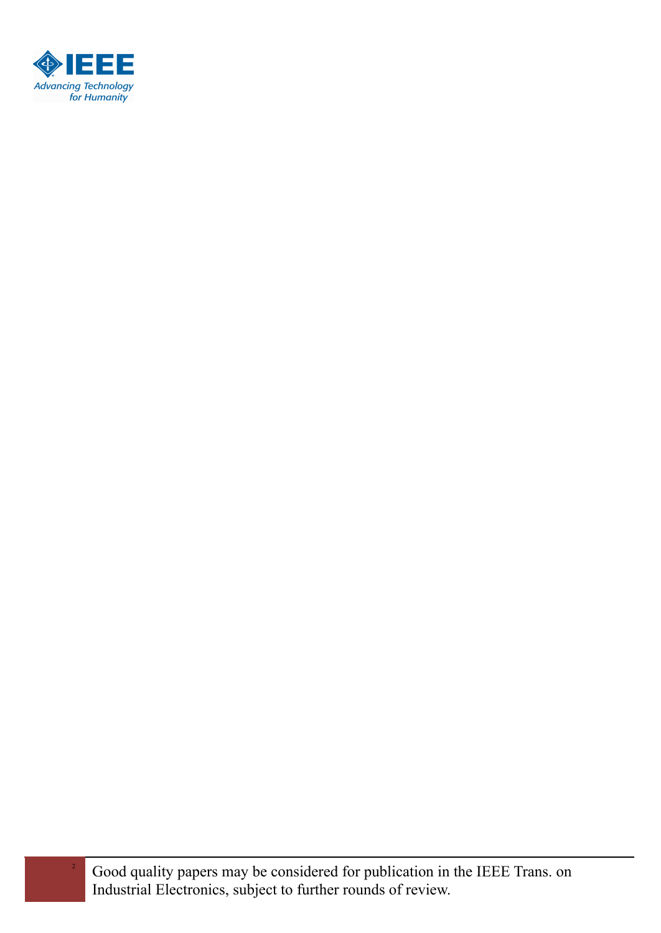

<sup>2</sup> Good quality papers may be considered for publication in the IEEE Trans. on Industrial Electronics, subject to further rounds of review.